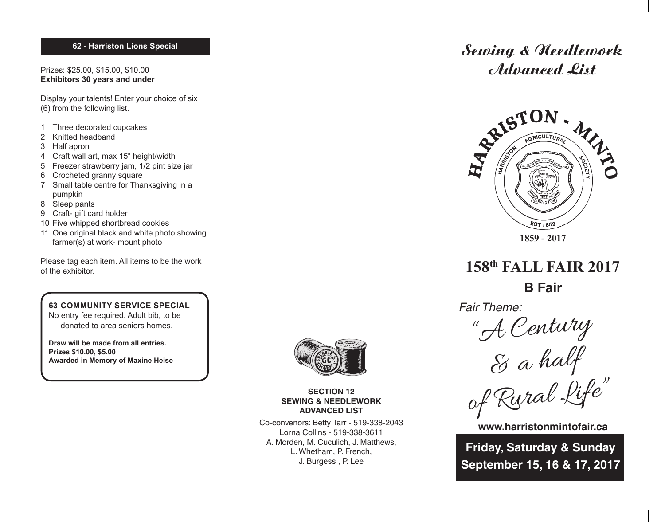## **62 - Harriston Lions Special**

Prizes: \$25.00, \$15.00, \$10.00 **Exhibitors 30 years and under**

Display your talents! Enter your choice of six (6) from the following list.

- 1 Three decorated cupcakes
- 2 Knitted headband
- 3 Half apron
- 4 Craft wall art, max 15" height/width
- 5 Freezer strawberry jam, 1/2 pint size jar
- 6 Crocheted granny square
- 7 Small table centre for Thanksgiving in a pumpkin
- 8 Sleep pants
- 9 Craft- gift card holder
- 10 Five whipped shortbread cookies
- 11 One original black and white photo showing farmer(s) at work- mount photo

Please tag each item. All items to be the work of the exhibitor.

## **63 COMMUNITY SERVICE SPECIAL**

No entry fee required. Adult bib, to be donated to area seniors homes.

**Draw will be made from all entries. Prizes \$10.00, \$5.00 Awarded in Memory of Maxine Heise**



**SECTION 12 SEWING & NEEDLEWORK ADVANCED LIST**

Co-convenors: Betty Tarr - 519-338-2043 Lorna Collins - 519-338-3611 A. Morden, M. Cuculich, J. Matthews, L. Whetham, P. French, J. Burgess , P. Lee

# Sewing & Needlework Advanced List



**158th FALL FAIR 2017 B Fair**

Fair Theme:

"A Century

& a half

of Rural Life"

**www.harristonmintofair.ca**

**Friday, Saturday & Sunday September 15, 16 & 17, 2017**